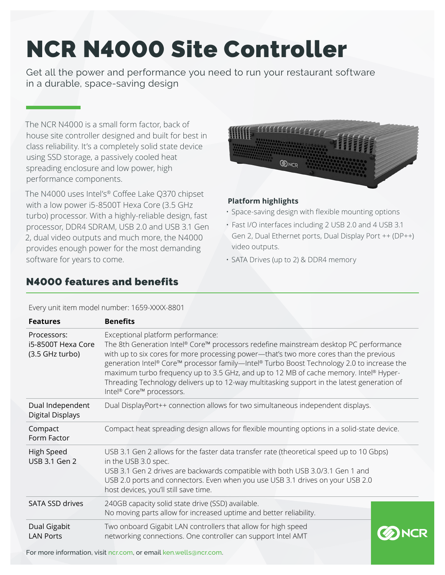## NCR N4000 Site Controller

Get all the power and performance you need to run your restaurant software in a durable, space-saving design

The NCR N4000 is a small form factor, back of house site controller designed and built for best in class reliability. It's a completely solid state device using SSD storage, a passively cooled heat spreading enclosure and low power, high performance components.

The N4000 uses Intel's® Coffee Lake Q370 chipset with a low power i5-8500T Hexa Core (3.5 GHz turbo) processor. With a highly-reliable design, fast processor, DDR4 SDRAM, USB 2.0 and USB 3.1 Gen 2, dual video outputs and much more, the N4000 provides enough power for the most demanding software for years to come.

# <u> Kanada ay isa </u> **ONCR**

#### **Platform highlights**

- Space-saving design with flexible mounting options
- Fast I/O interfaces including 2 USB 2.0 and 4 USB 3.1 Gen 2, Dual Ethernet ports, Dual Display Port ++ (DP++) video outputs.
- SATA Drives (up to 2) & DDR4 memory

## N4000 features and benefits

Every unit item model number: 1659-XXXX-8801

| <b>Features</b>                                      | <b>Benefits</b>                                                                                                                                                                                                                                                                                                                                                                                                                                                                                                                        |  |  |
|------------------------------------------------------|----------------------------------------------------------------------------------------------------------------------------------------------------------------------------------------------------------------------------------------------------------------------------------------------------------------------------------------------------------------------------------------------------------------------------------------------------------------------------------------------------------------------------------------|--|--|
| Processors:<br>i5-8500T Hexa Core<br>(3.5 GHz turbo) | Exceptional platform performance:<br>The 8th Generation Intel® Core™ processors redefine mainstream desktop PC performance<br>with up to six cores for more processing power-that's two more cores than the previous<br>generation Intel® Core™ processor family—Intel® Turbo Boost Technology 2.0 to increase the<br>maximum turbo frequency up to 3.5 GHz, and up to 12 MB of cache memory. Intel® Hyper-<br>Threading Technology delivers up to 12-way multitasking support in the latest generation of<br>Intel® Core™ processors. |  |  |
| Dual Independent<br><b>Digital Displays</b>          | Dual DisplayPort++ connection allows for two simultaneous independent displays.                                                                                                                                                                                                                                                                                                                                                                                                                                                        |  |  |
| Compact<br>Form Factor                               | Compact heat spreading design allows for flexible mounting options in a solid-state device.                                                                                                                                                                                                                                                                                                                                                                                                                                            |  |  |
| High Speed<br>USB 3.1 Gen 2                          | USB 3.1 Gen 2 allows for the faster data transfer rate (theoretical speed up to 10 Gbps)<br>in the USB 3.0 spec.<br>USB 3.1 Gen 2 drives are backwards compatible with both USB 3.0/3.1 Gen 1 and<br>USB 2.0 ports and connectors. Even when you use USB 3.1 drives on your USB 2.0<br>host devices, you'll still save time.                                                                                                                                                                                                           |  |  |
| SATA SSD drives                                      | 240GB capacity solid state drive (SSD) available.<br>No moving parts allow for increased uptime and better reliability.                                                                                                                                                                                                                                                                                                                                                                                                                |  |  |
| Dual Gigabit<br><b>LAN Ports</b>                     | Two onboard Gigabit LAN controllers that allow for high speed<br>networking connections. One controller can support Intel AMT                                                                                                                                                                                                                                                                                                                                                                                                          |  |  |

For more information, visit [ncr.com](http://www.ncr.com), or email [ken.wells@ncr.com](mailto:ken.wells%40ncr.com?subject=).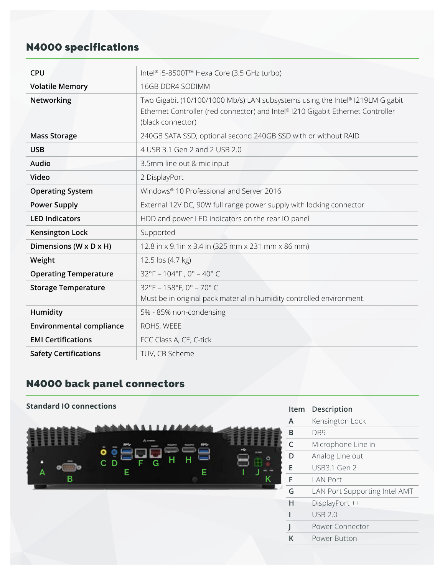## N4000 specifications

| <b>CPU</b>                                           | Intel® i5-8500T™ Hexa Core (3.5 GHz turbo)                                                                                                                                            |  |  |
|------------------------------------------------------|---------------------------------------------------------------------------------------------------------------------------------------------------------------------------------------|--|--|
| <b>Volatile Memory</b>                               | 16GB DDR4 SODIMM                                                                                                                                                                      |  |  |
| Networking                                           | Two Gigabit (10/100/1000 Mb/s) LAN subsystems using the Intel® I219LM Gigabit<br>Ethernet Controller (red connector) and Intel® I210 Gigabit Ethernet Controller<br>(black connector) |  |  |
| <b>Mass Storage</b>                                  | 240GB SATA SSD; optional second 240GB SSD with or without RAID                                                                                                                        |  |  |
| <b>USB</b>                                           | 4 USB 3.1 Gen 2 and 2 USB 2.0                                                                                                                                                         |  |  |
| Audio                                                | 3.5mm line out & mic input                                                                                                                                                            |  |  |
| Video                                                | 2 DisplayPort                                                                                                                                                                         |  |  |
| <b>Operating System</b>                              | Windows <sup>®</sup> 10 Professional and Server 2016                                                                                                                                  |  |  |
| <b>Power Supply</b>                                  | External 12V DC, 90W full range power supply with locking connector                                                                                                                   |  |  |
| <b>LED Indicators</b>                                | HDD and power LED indicators on the rear IO panel                                                                                                                                     |  |  |
| <b>Kensington Lock</b><br>Supported                  |                                                                                                                                                                                       |  |  |
| Dimensions (W x D x H)                               | 12.8 in x 9.1 in x 3.4 in (325 mm x 231 mm x 86 mm)                                                                                                                                   |  |  |
| Weight                                               | 12.5 lbs (4.7 kg)                                                                                                                                                                     |  |  |
| <b>Operating Temperature</b>                         | $32^{\circ}F - 104^{\circ}F$ , 0° - 40° C                                                                                                                                             |  |  |
| <b>Storage Temperature</b>                           | 32°F - 158°F, 0° - 70°C<br>Must be in original pack material in humidity controlled environment.                                                                                      |  |  |
| 5% - 85% non-condensing<br>Humidity                  |                                                                                                                                                                                       |  |  |
| <b>Environmental compliance</b>                      | ROHS, WEEE                                                                                                                                                                            |  |  |
| <b>EMI Certifications</b><br>FCC Class A, CE, C-tick |                                                                                                                                                                                       |  |  |
| <b>Safety Certifications</b>                         | TUV, CB Scheme                                                                                                                                                                        |  |  |

## N4000 back panel connectors

| <b>Standard IO connections</b> |                | Description<br>Item           |
|--------------------------------|----------------|-------------------------------|
|                                | $\overline{A}$ | Kensington Lock               |
|                                | B              | DB <sub>9</sub>               |
| Access                         | C              | Microphone Line in            |
| O<br>н<br>н                    | D              | Analog Line out               |
| C D<br>G<br>Е<br>A             | E              | <b>USB3.1 Gen 2</b>           |
| B<br>Κ                         | F              | <b>LAN Port</b>               |
|                                | G              | LAN Port Supporting Intel AMT |
|                                | Н              | DisplayPort ++                |
|                                |                | <b>USB 2.0</b>                |
|                                |                | Power Connector               |
|                                | $\sf K$        | Power Button                  |
|                                |                |                               |